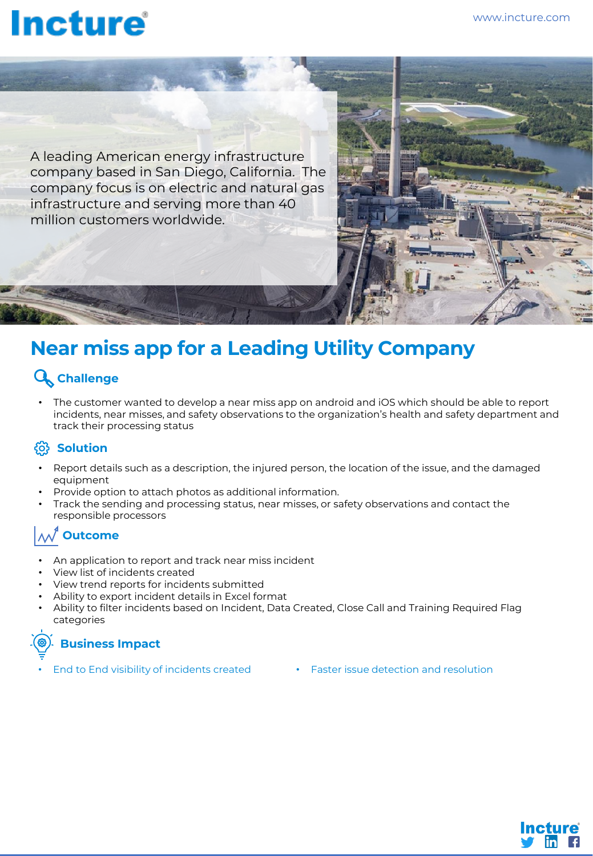# **Incture**

A leading American energy infrastructure company based in San Diego, California. The company focus is on electric and natural gas infrastructure and serving more than 40 million customers worldwide.

### **Near miss app for a Leading Utility Company**

#### **Challenge**

• The customer wanted to develop a near miss app on android and iOS which should be able to report incidents, near misses, and safety observations to the organization's health and safety department and track their processing status

#### <u>ကြ</u> Solution

- Report details such as a description, the injured person, the location of the issue, and the damaged equipment
- Provide option to attach photos as additional information.
- Track the sending and processing status, near misses, or safety observations and contact the responsible processors

#### **Outcome**

- An application to report and track near miss incident
- View list of incidents created
- View trend reports for incidents submitted
- Ability to export incident details in Excel format
- Ability to filter incidents based on Incident, Data Created, Close Call and Training Required Flag categories

### **Business Impact**

- End to End visibility of incidents created Faster issue detection and resolution
-